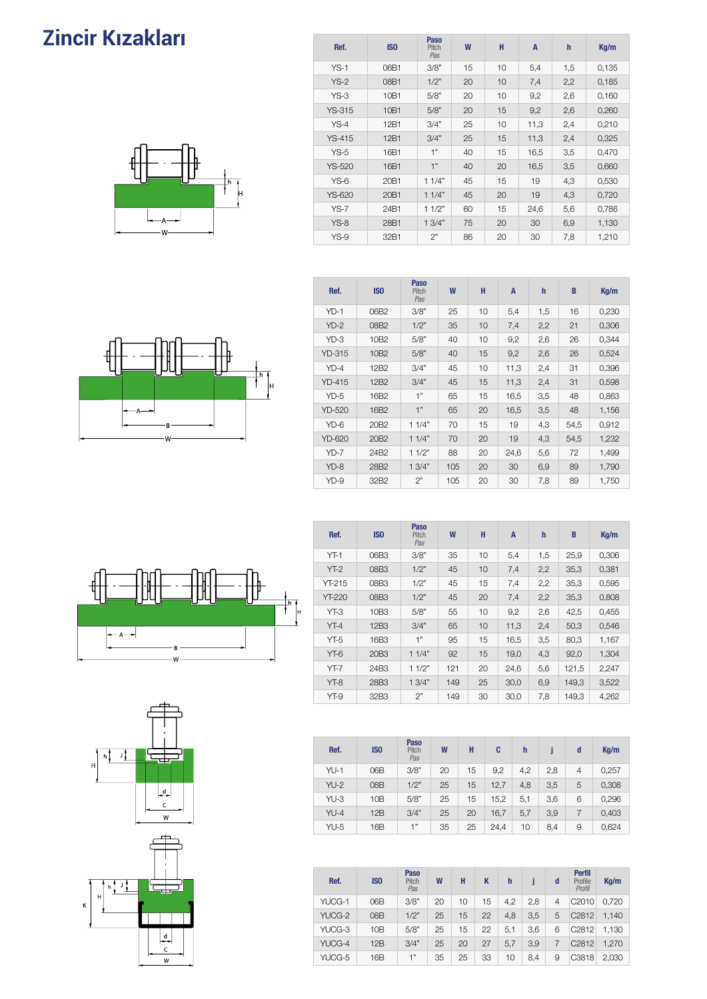### cır Kızakları Zincir Kızakları



| Ref.          | IS <sub>0</sub>  | <b>Paso</b><br>Pitch<br>Pas | W  | H  | $\mathsf{A}$ | h   | Kg/m  |
|---------------|------------------|-----------------------------|----|----|--------------|-----|-------|
| $YS-1$        | 06B1             | 3/8"                        | 15 | 10 | 5,4          | 1,5 | 0,135 |
| $YS-2$        | 08B1             | 1/2"                        | 20 | 10 | 7,4          | 2,2 | 0,185 |
| $YS-3$        | 10B1             | 5/8"                        | 20 | 10 | 9,2          | 2,6 | 0,160 |
| <b>YS-315</b> | 10 <sub>B1</sub> | 5/8"                        | 20 | 15 | 9,2          | 2,6 | 0,260 |
| $YS-4$        | 12B1             | 3/4"                        | 25 | 10 | 11,3         | 2,4 | 0,210 |
| $YS-415$      | 12B1             | 3/4"                        | 25 | 15 | 11,3         | 2,4 | 0,325 |
| $YS-5$        | 16B1             | 1"                          | 40 | 15 | 16,5         | 3,5 | 0,470 |
| <b>YS-520</b> | 16B1             | 1"                          | 40 | 20 | 16,5         | 3,5 | 0,660 |
| $YS-6$        | 20 <sub>B1</sub> | 11/4"                       | 45 | 15 | 19           | 4,3 | 0,530 |
| <b>YS-620</b> | 20 <sub>B1</sub> | 11/4"                       | 45 | 20 | 19           | 4,3 | 0,720 |
| $YS-7$        | 24B1             | 11/2"                       | 60 | 15 | 24,6         | 5,6 | 0,786 |
| $YS-8$        | 28B1             | 13/4"                       | 75 | 20 | 30           | 6,9 | 1,130 |
| $YS-9$        | 32B1             | 2"                          | 86 | 20 | 30           | 7,8 | 1,210 |



| Ref.          | IS <sub>0</sub>  | .<br>Pitch<br>Pas | W   | H  | A    | $\mathsf{h}$ | B    | Kq/m  |
|---------------|------------------|-------------------|-----|----|------|--------------|------|-------|
| $YD-1$        | 06B2             | 3/8"              | 25  | 10 | 5,4  | 1,5          | 16   | 0,230 |
| $YD-2$        | 08B2             | 1/2"              | 35  | 10 | 7,4  | 2,2          | 21   | 0,306 |
| $YD-3$        | 10B <sub>2</sub> | 5/8"              | 40  | 10 | 9,2  | 2,6          | 26   | 0,344 |
| YD-315        | 10B <sub>2</sub> | 5/8"              | 40  | 15 | 9,2  | 2,6          | 26   | 0,524 |
| $YD-4$        | 12B <sub>2</sub> | 3/4"              | 45  | 10 | 11,3 | 2,4          | 31   | 0,396 |
| <b>YD-415</b> | 12B <sub>2</sub> | 3/4"              | 45  | 15 | 11,3 | 2,4          | 31   | 0,598 |
| $YD-5$        | 16B <sub>2</sub> | 1"                | 65  | 15 | 16,5 | 3,5          | 48   | 0,863 |
| <b>YD-520</b> | 16B <sub>2</sub> | 1"                | 65  | 20 | 16,5 | 3,5          | 48   | 1,156 |
| $YD-6$        | 20B <sub>2</sub> | 11/4"             | 70  | 15 | 19   | 4,3          | 54,5 | 0,912 |
| <b>YD-620</b> | 20B <sub>2</sub> | 11/4"             | 70  | 20 | 19   | 4,3          | 54,5 | 1,232 |
| $YD-7$        | 24B <sub>2</sub> | 11/2"             | 88  | 20 | 24,6 | 5,6          | 72   | 1,499 |
| $YD-8$        | 28B2             | 13/4"             | 105 | 20 | 30   | 6,9          | 89   | 1,790 |
| $YD-9$        | 32B2             | 2"                | 105 | 20 | 30   | 7,8          | 89   | 1,750 |

**Doos** 







| Ref.          | IS <sub>0</sub>  | <b>Paso</b><br>Pitch<br>Pas | W   | H  | $\mathsf{A}$ | $\mathbf h$ | B     | Kq/m  |
|---------------|------------------|-----------------------------|-----|----|--------------|-------------|-------|-------|
| $YT-1$        | 06B3             | 3/8"                        | 35  | 10 | 5,4          | 1,5         | 25,9  | 0,306 |
| $YT-2$        | 08B3             | 1/2"                        | 45  | 10 | 7,4          | 2,2         | 35,3  | 0,381 |
| YT-215        | 08B3             | 1/2"                        | 45  | 15 | 7,4          | 2,2         | 35,3  | 0,595 |
| <b>YT-220</b> | 08B3             | 1/2"                        | 45  | 20 | 7,4          | 2,2         | 35,3  | 0,808 |
| $YT-3$        | 10B <sub>3</sub> | 5/8"                        | 55  | 10 | 9,2          | 2,6         | 42,5  | 0,455 |
| $YT-4$        | 12B3             | 3/4"                        | 65  | 10 | 11,3         | 2,4         | 50,3  | 0,546 |
| $YT-5$        | 16B3             | 1"                          | 95  | 15 | 16,5         | 3,5         | 80,3  | 1,167 |
| $YT-6$        | 20B3             | 11/4"                       | 92  | 15 | 19,0         | 4,3         | 92,0  | 1,304 |
| $YT-7$        | 24B3             | 11/2"                       | 121 | 20 | 24,6         | 5,6         | 121,5 | 2.247 |
| $YT-8$        | 28B3             | 13/4"                       | 149 | 25 | 30,0         | 6,9         | 149.3 | 3,522 |
| $YT-9$        | 32B3             | 2"                          | 149 | 30 | 30,0         | 7,8         | 149.3 | 4,262 |

| Ref.   | IS <sub>0</sub> | Paso<br>Pitch<br>Pas | W  | Н  | C    | h   |     | d              | Kq/m  |
|--------|-----------------|----------------------|----|----|------|-----|-----|----------------|-------|
| $YU-1$ | 06B             | 3/8"                 | 20 | 15 | 9,2  | 4,2 | 2,8 | $\overline{4}$ | 0,257 |
| $YU-2$ | 08B             | 1/2"                 | 25 | 15 | 12,7 | 4,8 | 3,5 | 5              | 0,308 |
| $YU-3$ | 10B             | 5/8"                 | 25 | 15 | 15,2 | 5,1 | 3,6 | 6              | 0,296 |
| $YU-4$ | 12B             | 3/4"                 | 25 | 20 | 16,7 | 5,7 | 3,9 |                | 0,403 |
| YU-5   | 16B             | 1"                   | 35 | 25 | 24,4 | 10  | 8,4 | 9              | 0,624 |

| Ref.   | IS <sub>0</sub> | Paso<br>Pitch<br>Pas | W  | н  | K  | h   |     | d | <b>Perfil</b><br>Profile<br>Profil | Kg/m  |
|--------|-----------------|----------------------|----|----|----|-----|-----|---|------------------------------------|-------|
| YUCG-1 | 06B             | 3/8"                 | 20 | 10 | 15 | 4.2 | 2,8 | 4 | C <sub>2010</sub>                  | 0,720 |
| YUCG-2 | 08B             | 1/2"                 | 25 | 15 | 22 | 4,8 | 3,5 | 5 | C <sub>2812</sub>                  | 1.140 |
| YUCG-3 | 10B             | 5/8"                 | 25 | 15 | 22 | 5,1 | 3,6 | 6 | C <sub>2812</sub>                  | 1.130 |
| YUCG-4 | 12B             | 3/4"                 | 25 | 20 | 27 | 5,7 | 3,9 |   | C <sub>2812</sub>                  | 1.270 |
| YUCG-5 | 16B             | 1"                   | 35 | 25 | 33 | 10  | 8.4 | 9 | C3818                              | 2,030 |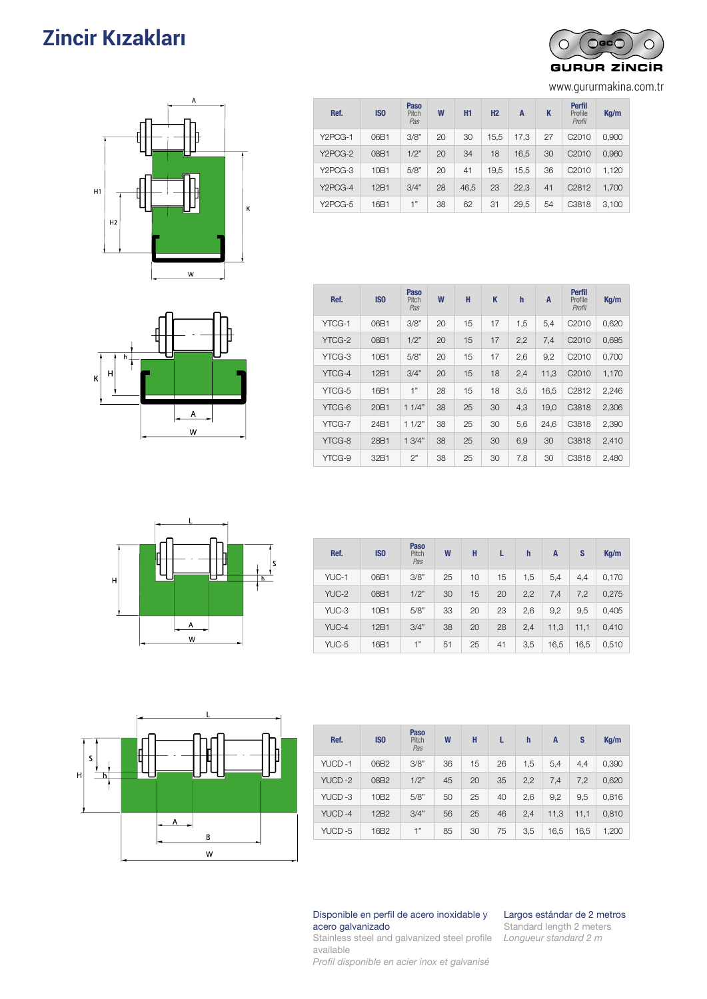### **Zincir Kızakları** 91 (Guias Para Cadenas) DE RODILLOS



| Ref.    | IS <sub>0</sub> | <b>Paso</b><br>Pitch<br>Pas | W  | H1   | H2   | A    | K  | <b>Perfil</b><br>Profile<br>Profil | Kg/m  |
|---------|-----------------|-----------------------------|----|------|------|------|----|------------------------------------|-------|
| Y2PCG-1 | 06B1            | 3/8"                        | 20 | 30   | 15,5 | 17.3 | 27 | C <sub>2010</sub>                  | 0,900 |
| Y2PCG-2 | 08B1            | 1/2"                        | 20 | 34   | 18   | 16,5 | 30 | C <sub>2010</sub>                  | 0,960 |
| Y2PCG-3 | 10B1            | 5/8"                        | 20 | 41   | 19,5 | 15.5 | 36 | C <sub>2010</sub>                  | 1,120 |
| Y2PCG-4 | 12B1            | 3/4"                        | 28 | 46,5 | 23   | 22,3 | 41 | C <sub>2812</sub>                  | 1,700 |
| Y2PCG-5 | 16B1            | 1"                          | 38 | 62   | 31   | 29,5 | 54 | C3818                              | 3,100 |



| Ref.   | IS <sub>0</sub>  | Paso<br>Pitch<br>Pas | W  | н  | K  | $\mathbf h$ | A    | <b>Perfil</b><br>Profile<br>Profil | Kg/m  |
|--------|------------------|----------------------|----|----|----|-------------|------|------------------------------------|-------|
| YTCG-1 | 06B1             | 3/8"                 | 20 | 15 | 17 | 1,5         | 5,4  | C <sub>2010</sub>                  | 0,620 |
| YTCG-2 | 08B1             | 1/2"                 | 20 | 15 | 17 | 2,2         | 7,4  | C <sub>2010</sub>                  | 0,695 |
| YTCG-3 | 10 <sub>B1</sub> | 5/8"                 | 20 | 15 | 17 | 2,6         | 9,2  | C <sub>2010</sub>                  | 0,700 |
| YTCG-4 | 12B1             | 3/4"                 | 20 | 15 | 18 | 2,4         | 11,3 | C <sub>2010</sub>                  | 1,170 |
| YTCG-5 | 16B1             | 1"                   | 28 | 15 | 18 | 3,5         | 16.5 | C <sub>2812</sub>                  | 2,246 |
| YTCG-6 | 20 <sub>B1</sub> | 11/4"                | 38 | 25 | 30 | 4,3         | 19,0 | C <sub>3818</sub>                  | 2,306 |
| YTCG-7 | 24B1             | 11/2"                | 38 | 25 | 30 | 5,6         | 24.6 | C3818                              | 2,390 |
| YTCG-8 | 28B1             | 13/4"                | 38 | 25 | 30 | 6,9         | 30   | C <sub>3818</sub>                  | 2,410 |
| YTCG-9 | 32B1             | 2"                   | 38 | 25 | 30 | 7,8         | 30   | C3818                              | 2,480 |



| Ref.  | IS <sub>0</sub> | Paso<br>Pitch<br>Pas | W  | н  | L  | $\mathsf{h}$ | A    | S    | Kq/m  |
|-------|-----------------|----------------------|----|----|----|--------------|------|------|-------|
| YUC-1 | 06B1            | 3/8"                 | 25 | 10 | 15 | 1.5          | 5,4  | 4,4  | 0,170 |
| YUC-2 | 08B1            | 1/2"                 | 30 | 15 | 20 | 2,2          | 7.4  | 7,2  | 0,275 |
| YUC-3 | 10B1            | 5/8"                 | 33 | 20 | 23 | 2,6          | 9,2  | 9,5  | 0,405 |
| YUC-4 | 12B1            | 3/4"                 | 38 | 20 | 28 | 2.4          | 11,3 | 11,1 | 0,410 |
| YUC-5 | 16B1            | 1"                   | 51 | 25 | 41 | 3,5          | 16,5 | 16,5 | 0,510 |



| Ref.   | IS <sub>0</sub>  | Paso<br>Pitch<br>Pas | W  | н  | L  | $\mathsf{h}$ | A    | S    | Kg/m  |
|--------|------------------|----------------------|----|----|----|--------------|------|------|-------|
| YUCD-1 | 06B2             | 3/8"                 | 36 | 15 | 26 | 1,5          | 5,4  | 4,4  | 0,390 |
| YUCD-2 | 08B2             | 1/2"                 | 45 | 20 | 35 | 2,2          | 7.4  | 7,2  | 0,620 |
| YUCD-3 | 10B <sub>2</sub> | 5/8"                 | 50 | 25 | 40 | 2,6          | 9,2  | 9,5  | 0,816 |
| YUCD-4 | 12B2             | 3/4"                 | 56 | 25 | 46 | 2,4          | 11,3 | 11,1 | 0,810 |
| YUCD-5 | 16B2             | 1"                   | 85 | 30 | 75 | 3,5          | 16,5 | 16,5 | 1,200 |

#### Disponible en perfil de acero inoxidable y acero galvanizado

Largos estándar de 2 metros Standard length 2 meters *Longueur standard 2 m*

Stainless steel and galvanized steel profile available

*Profil disponible en acier inox et galvanisé*



www.gururmakina.com.tr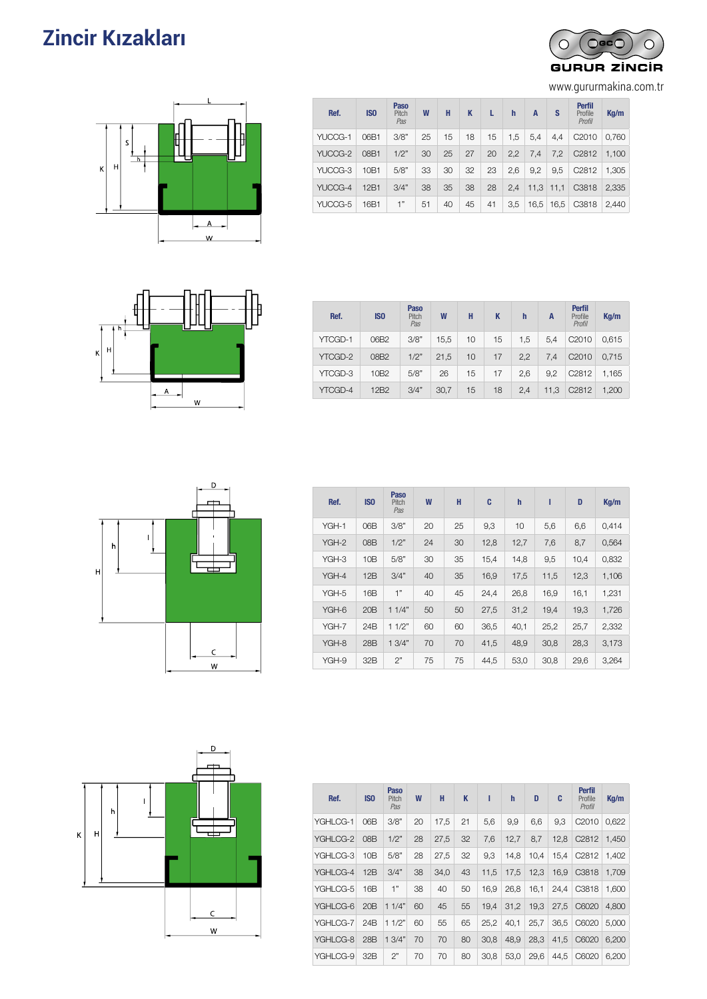### **Zincir Kızakları** DE RODILLOS



www.gururmakina.com.tr



| Ref.    | <b>ISO</b> | <b>Paso</b><br>Pitch<br>Pas | W  | н  | K  | L  | h   | A    | s    | <b>Perfil</b><br>Profile<br>Profil | Kq/m  |
|---------|------------|-----------------------------|----|----|----|----|-----|------|------|------------------------------------|-------|
| YUCCG-1 | 06B1       | 3/8"                        | 25 | 15 | 18 | 15 | 1,5 | 5.4  | 4,4  | C <sub>2010</sub>                  | 0.760 |
| YUCCG-2 | 08B1       | 1/2"                        | 30 | 25 | 27 | 20 | 2,2 | 7.4  | 7,2  | C <sub>2812</sub>                  | 1.100 |
| YUCCG-3 | 10B1       | 5/8"                        | 33 | 30 | 32 | 23 | 2,6 | 9.2  | 9,5  | C <sub>2812</sub>                  | 1.305 |
| YUCCG-4 | 12B1       | 3/4"                        | 38 | 35 | 38 | 28 | 2,4 | 11,3 | 11,1 | C3818                              | 2.335 |
| YUCCG-5 | 16B1       | 1"                          | 51 | 40 | 45 | 41 | 3,5 | 16,5 | 16,5 | C3818                              | 2.440 |



| Ref.    | IS <sub>0</sub>  | Paso<br>Pitch<br>Pas | W    | H  | K  | h   | А    | <b>Perfil</b><br>Profile<br>Profil | Kq/m  |
|---------|------------------|----------------------|------|----|----|-----|------|------------------------------------|-------|
| YTCGD-1 | 06B2             | 3/8"                 | 15,5 | 10 | 15 | 1,5 | 5.4  | C <sub>2010</sub>                  | 0,615 |
| YTCGD-2 | 08B2             | 1/2"                 | 21,5 | 10 | 17 | 2,2 | 7.4  | C <sub>2010</sub>                  | 0.715 |
| YTCGD-3 | 10B <sub>2</sub> | 5/8"                 | 26   | 15 | 17 | 2.6 | 9.2  | C <sub>2812</sub>                  | 1,165 |
| YTCGD-4 | 12B <sub>2</sub> | 3/4"                 | 30,7 | 15 | 18 | 2,4 | 11,3 | C <sub>2812</sub>                  | 1,200 |



| Ref.  | <b>ISO</b> | <b>Paso</b><br>Pitch<br>Pas | W  | H  | C    | h    | ı    | D    | Kg/m  |
|-------|------------|-----------------------------|----|----|------|------|------|------|-------|
| YGH-1 | 06B        | 3/8"                        | 20 | 25 | 9,3  | 10   | 5,6  | 6,6  | 0,414 |
| YGH-2 | 08B        | 1/2"                        | 24 | 30 | 12,8 | 12,7 | 7,6  | 8,7  | 0,564 |
| YGH-3 | 10B        | 5/8"                        | 30 | 35 | 15,4 | 14,8 | 9,5  | 10,4 | 0,832 |
| YGH-4 | 12B        | 3/4"                        | 40 | 35 | 16,9 | 17,5 | 11,5 | 12,3 | 1,106 |
| YGH-5 | 16B        | 1"                          | 40 | 45 | 24,4 | 26,8 | 16,9 | 16,1 | 1,231 |
| YGH-6 | 20B        | 11/4"                       | 50 | 50 | 27,5 | 31,2 | 19,4 | 19,3 | 1,726 |
| YGH-7 | 24B        | 11/2"                       | 60 | 60 | 36,5 | 40,1 | 25,2 | 25,7 | 2,332 |
| YGH-8 | 28B        | 13/4"                       | 70 | 70 | 41,5 | 48,9 | 30,8 | 28,3 | 3,173 |
| YGH-9 | 32B        | 2"                          | 75 | 75 | 44,5 | 53,0 | 30,8 | 29,6 | 3,264 |



| Ref.     | <b>ISO</b>      | <b>Paso</b><br>Pitch<br>Pas | W  | н    | K  | ı    | $\mathbf{h}$ | D    | C    | <b>Perfil</b><br><b>Profile</b><br>Profil | Kg/m  |
|----------|-----------------|-----------------------------|----|------|----|------|--------------|------|------|-------------------------------------------|-------|
| YGHLCG-1 | 06B             | 3/8"                        | 20 | 17,5 | 21 | 5,6  | 9,9          | 6.6  | 9.3  | C2010                                     | 0.622 |
| YGHLCG-2 | OBB             | 1/2"                        | 28 | 27,5 | 32 | 7,6  | 12,7         | 8,7  | 12.8 | C <sub>2812</sub>                         | 1.450 |
| YGHLCG-3 | 10B             | 5/8"                        | 28 | 27.5 | 32 | 9.3  | 14.8         | 10.4 | 15.4 | C <sub>2812</sub>                         | 1.402 |
| YGHLCG-4 | 12B             | 3/4"                        | 38 | 34,0 | 43 | 11,5 | 17.5         | 12.3 | 16.9 | C <sub>3</sub> 818                        | 1.709 |
| YGHLCG-5 | 16B             | 1"                          | 38 | 40   | 50 | 16,9 | 26,8         | 16,1 | 24,4 | C3818                                     | 1,600 |
| YGHLCG-6 | 20B             | 11/4"                       | 60 | 45   | 55 | 19.4 | 31,2         | 19.3 | 27,5 | C6020                                     | 4.800 |
| YGHLCG-7 | 24 <sub>B</sub> | 11/2"                       | 60 | 55   | 65 | 25,2 | 40,1         | 25,7 | 36,5 | C6020                                     | 5.000 |
| YGHLCG-8 | 28 <sub>B</sub> | 13/4"                       | 70 | 70   | 80 | 30.8 | 48.9         | 28.3 | 41,5 | C6020                                     | 6.200 |
| YGHLCG-9 | 32B             | 2"                          | 70 | 70   | 80 | 30,8 | 53,0         | 29,6 | 44,5 | C6020                                     | 6,200 |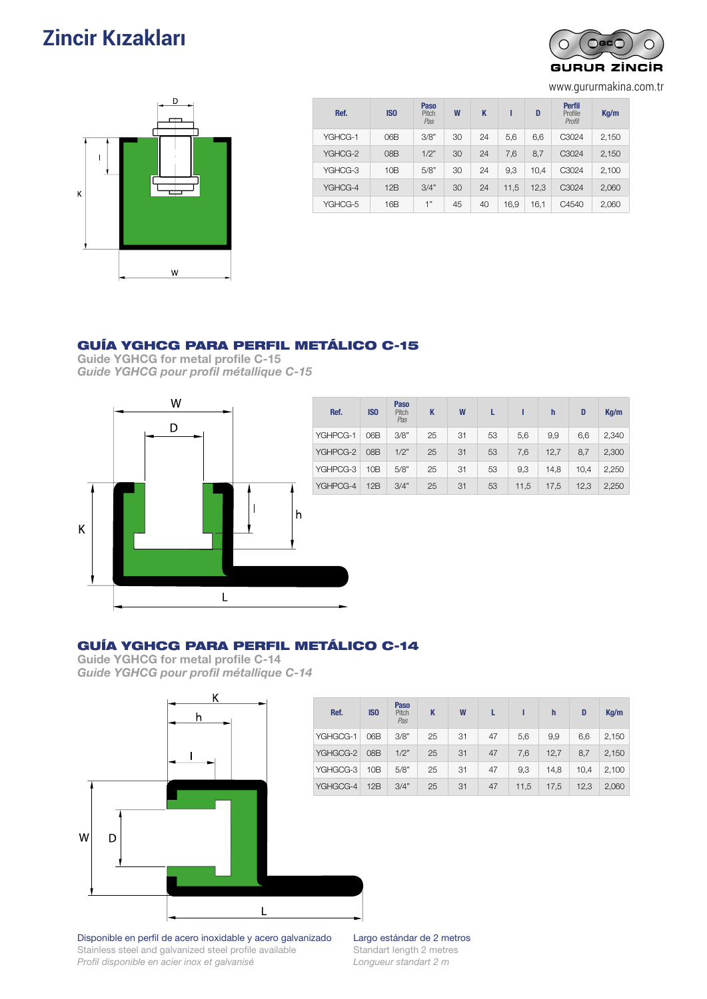### **Zincir Kızakları** Guías Para Cadenas 933 DE RODILLOS



www.gururmakina.com.tr



| Ref.    | IS <sub>0</sub> | Paso<br>Pitch<br>Pas | W  | K  |      | D    | <b>Perfil</b><br>Profile<br>Profil | Kq/m  |
|---------|-----------------|----------------------|----|----|------|------|------------------------------------|-------|
| YGHCG-1 | 06B             | 3/8"                 | 30 | 24 | 5,6  | 6,6  | C3024                              | 2,150 |
| YGHCG-2 | 08B             | 1/2"                 | 30 | 24 | 7.6  | 8,7  | C3024                              | 2,150 |
| YGHCG-3 | 10B             | 5/8"                 | 30 | 24 | 9,3  | 10.4 | C3024                              | 2,100 |
| YGHCG-4 | 12B             | 3/4"                 | 30 | 24 | 11.5 | 12,3 | C3024                              | 2,060 |
| YGHCG-5 | 16B             | 1"                   | 45 | 40 | 16,9 | 16,1 | C4540                              | 2,060 |

### GUÍA YGHCG PARA PERFIL METÁLICO C-15

Guide YGHCG for metal profile C-15 *Guide YGHCG pour profil métallique C-15*



### GUÍA YGHCG PARA PERFIL METÁLICO C-14

Guide YGHCG for metal profile C-14 *Guide YGHCG pour profil métallique C-14*



Disponible en perfil de acero inoxidable y acero galvanizado Stainless steel and galvanized steel profile available *Profil disponible en acier inox et galvanisé*

Largo estándar de 2 metros Standart length 2 metres *Longueur standart 2 m*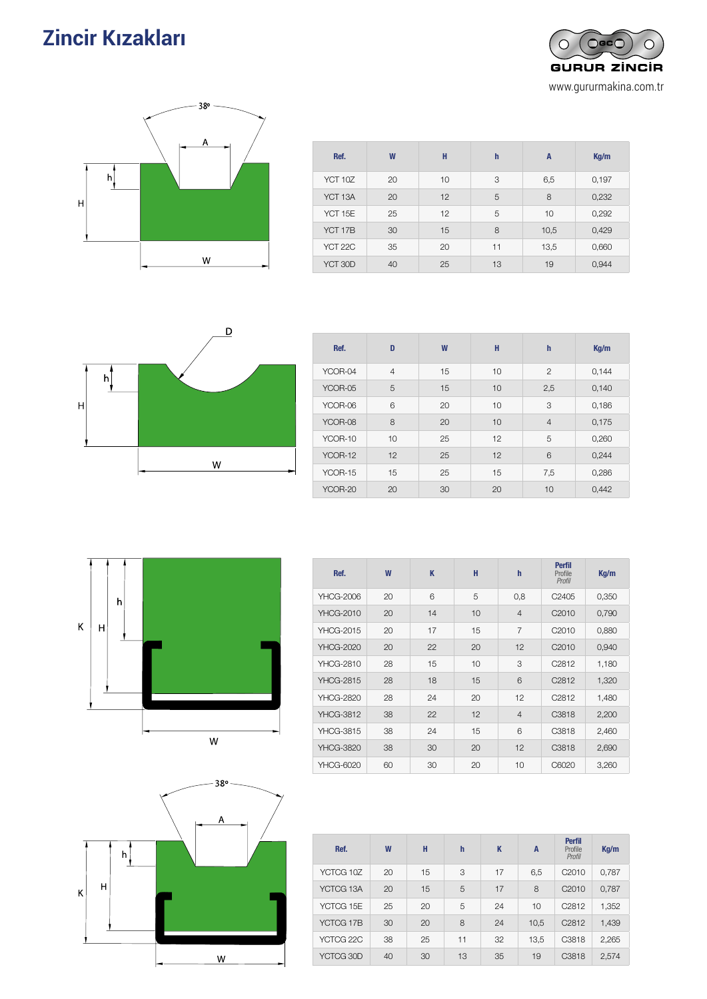# **Zincir Kızakları**



| Ref.    | W  | H  | h  | A    | Kg/m  |
|---------|----|----|----|------|-------|
| YCT 10Z | 20 | 10 | 3  | 6,5  | 0,197 |
| YCT 13A | 20 | 12 | 5  | 8    | 0,232 |
| YCT 15E | 25 | 12 | 5  | 10   | 0,292 |
| YCT 17B | 30 | 15 | 8  | 10,5 | 0,429 |
| YCT 22C | 35 | 20 | 11 | 13,5 | 0,660 |
| YCT 30D | 40 | 25 | 13 | 19   | 0,944 |



| Ref.    | D              | W  | H  | $\mathbf h$    | Kq/m  |
|---------|----------------|----|----|----------------|-------|
| YCOR-04 | $\overline{4}$ | 15 | 10 | $\overline{2}$ | 0,144 |
| YCOR-05 | 5              | 15 | 10 | 2,5            | 0,140 |
| YCOR-06 | 6              | 20 | 10 | 3              | 0,186 |
| YCOR-08 | 8              | 20 | 10 | $\overline{4}$ | 0,175 |
| YCOR-10 | 10             | 25 | 12 | 5              | 0,260 |
| YCOR-12 | 12             | 25 | 12 | 6              | 0,244 |
| YCOR-15 | 15             | 25 | 15 | 7,5            | 0,286 |
| YCOR-20 | 20             | 30 | 20 | 10             | 0,442 |







| Ref.      | W  | H  | h  | K  | A    | <b>Perfil</b><br>Profile<br>Profil | Kq/m  |
|-----------|----|----|----|----|------|------------------------------------|-------|
| YCTCG 10Z | 20 | 15 | 3  | 17 | 6,5  | C <sub>2010</sub>                  | 0,787 |
| YCTCG 13A | 20 | 15 | 5  | 17 | 8    | C <sub>2010</sub>                  | 0,787 |
| YCTCG 15E | 25 | 20 | 5  | 24 | 10   | C <sub>2812</sub>                  | 1,352 |
| YCTCG 17B | 30 | 20 | 8  | 24 | 10,5 | C <sub>2812</sub>                  | 1,439 |
| YCTCG 22C | 38 | 25 | 11 | 32 | 13,5 | C3818                              | 2,265 |
| YCTCG 30D | 40 | 30 | 13 | 35 | 19   | C3818                              | 2,574 |

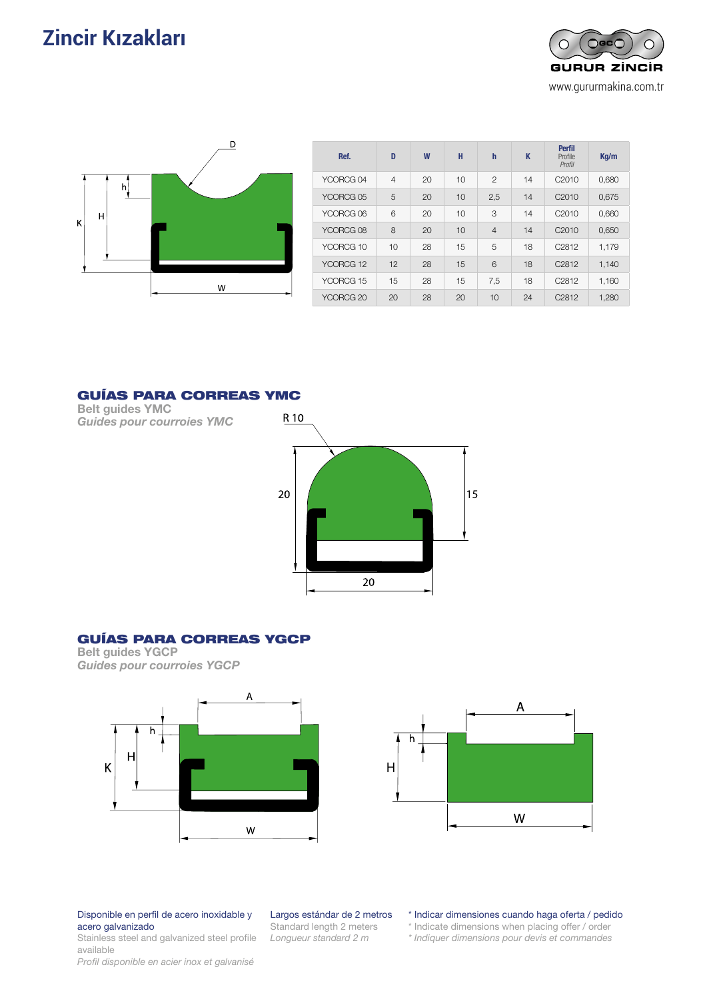# **Zincir Kızakları** Guías Para Guias 95 anistro Guias 95 anistro Guias 95 anistro Guias 95 anistro Guias 95 anistro Guias 95 anistro Guias 95 anistro Guias 95 anistro Guias 95 anistro Guias 95 anistro Guias 95 anistro Guias





| Ref.                 | D              | W  | H  | $\mathbf h$    | K  | <b>Perfil</b><br>Profile<br>Profil | Kg/m  |  |
|----------------------|----------------|----|----|----------------|----|------------------------------------|-------|--|
| YCORCG <sub>04</sub> | $\overline{4}$ | 20 | 10 | $\overline{2}$ | 14 | C <sub>2010</sub>                  | 0,680 |  |
| YCORCG 05            | 5              | 20 | 10 | 2,5            | 14 | C <sub>2010</sub>                  | 0,675 |  |
| YCORCG 06            | 6              | 20 | 10 | 3              | 14 | C <sub>2010</sub>                  | 0,660 |  |
| YCORCG 08            | 8              | 20 | 10 | $\overline{4}$ | 14 | C <sub>2010</sub>                  | 0,650 |  |
| YCORCG 10            | 10             | 28 | 15 | 5              | 18 | C <sub>2812</sub>                  | 1,179 |  |
| YCORCG 12            | 12             | 28 | 15 | 6              | 18 | C <sub>2812</sub>                  | 1,140 |  |
| YCORCG 15            | 15             | 28 | 15 | 7,5            | 18 | C <sub>2812</sub>                  | 1,160 |  |
| YCORCG <sub>20</sub> | 20             | 28 | 20 | 10             | 24 | C <sub>2812</sub>                  | 1.280 |  |

### GUÍAS PARA CORREAS YMC

Belt guides YMC *Guides pour courroies YMC*



### GUÍAS PARA CORREAS YGCP

Belt guides YGCP *Guides pour courroies YGCP*





Disponible en perfil de acero inoxidable y acero galvanizado

Stainless steel and galvanized steel profile available

*Profil disponible en acier inox et galvanisé*

### Largos estándar de 2 metros

Standard length 2 meters *Longueur standard 2 m*

\* Indicar dimensiones cuando haga oferta / pedido

\* Indicate dimensions when placing offer / order

*\* Indiquer dimensions pour devis et commandes*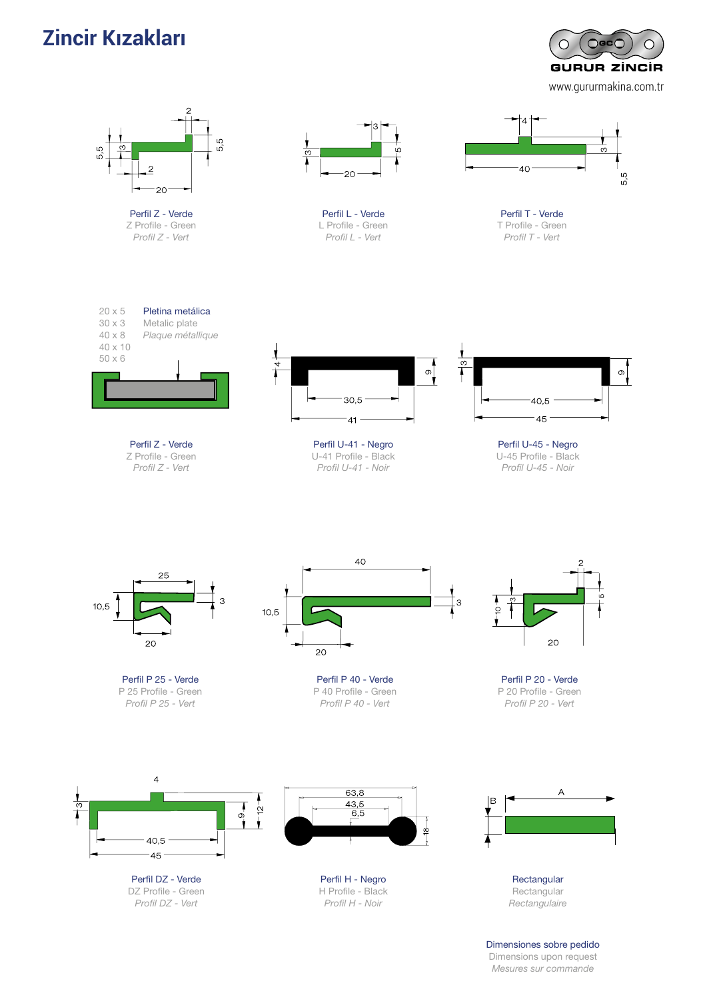# **Zincir Kızakları**

 $O$ GC $O$  $\circ$  $\circ$ **GURUR ZINCIR** www.gururmakina.com.tr



Dimensions upon request *Mesures sur commande*